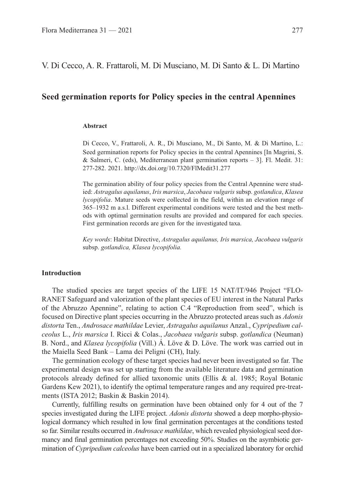V. Di Cecco, A. R. Frattaroli, M. Di Musciano, M. Di Santo & L. Di Martino

## **Seed germination reports for Policy species in the central Apennines**

#### **Abstract**

Di Cecco, V., Frattaroli, A. R., Di Musciano, M., Di Santo, M. & Di Martino, L.: Seed germination reports for Policy species in the central Apennines [In Magrini, S. & Salmeri, C. (eds), Mediterranean plant germination reports – 3]. Fl. Medit. 31: 277-282. 2021. http://dx.doi.org/10.7320/FlMedit31.277

The germination ability of four policy species from the Central Apennine were studied: *Astragalus aquilanus*, *Iris marsica*, *Jacobaea vulgaris* subsp. *gotlandica*, *Klasea lycopifolia*. Mature seeds were collected in the field, within an elevation range of 365–1932 m a.s.l. Different experimental conditions were tested and the best methods with optimal germination results are provided and compared for each species. First germination records are given for the investigated taxa.

*Key words*: Habitat Directive, *Astragalus aquilanus, Iris marsica, Jacobaea vulgaris* subsp. *gotlandica, Klasea lycopifolia.*

#### **Introduction**

The studied species are target species of the LIFE 15 NAT/IT/946 Project "FLO-RANET Safeguard and valorization of the plant species of EU interest in the Natural Parks of the Abruzzo Apennine", relating to action C.4 "Reproduction from seed", which is focused on Directive plant species occurring in the Abruzzo protected areas such as *Adonis distorta* Ten., *Androsace mathildae* Levier, *Astragalus aquilanus* Anzal., *Cypripedium calceolus* L., *Iris marsica* I. Ricci & Colas., *Jacobaea vulgaris* subsp. *gotlandica* (Neuman) B. Nord., and *Klasea lycopifolia* (Vill.) Á. Löve & D. Löve. The work was carried out in the Maiella Seed Bank – Lama dei Peligni (CH), Italy.

The germination ecology of these target species had never been investigated so far. The experimental design was set up starting from the available literature data and germination protocols already defined for allied taxonomic units (Ellis & al. 1985; Royal Botanic Gardens Kew 2021), to identify the optimal temperature ranges and any required pre-treatments (ISTA 2012; Baskin & Baskin 2014).

Currently, fulfilling results on germination have been obtained only for 4 out of the 7 species investigated during the LIFE project. *Adonis distorta* showed a deep morpho-physiological dormancy which resulted in low final germination percentages at the conditions tested so far. Similar results occurred in *Androsace mathildae*, which revealed physiological seed dormancy and final germination percentages not exceeding 50%. Studies on the asymbiotic germination of *Cypripedium calceolus* have been carried out in a specialized laboratory for orchid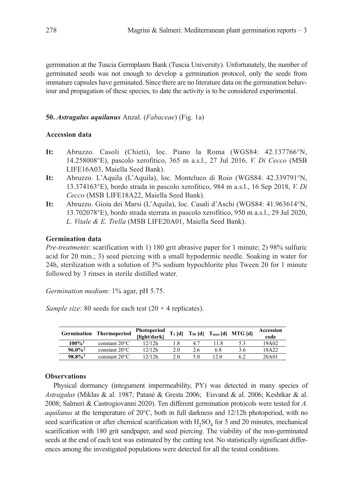germination at the Tuscia Germplasm Bank (Tuscia University). Unfortunately, the number of germinated seeds was not enough to develop a germination protocol, only the seeds from immature capsules have geminated. Since there are no literature data on the germination behaviour and propagation of these species, to date the activity is to be considered experimental.

## **50.** *Astragalus aquilanus* Anzal. (*Fabaceae*) (Fig. 1a)

## **Accession data**

- **It:** Abruzzo. Casoli (Chieti), loc. Piano la Roma (WGS84: 42.137766°N, 14.258008°E), pascolo xerofitico, 365 m a.s.l., 27 Jul 2016, *V. Di Cecco* (MSB LIFE16A03, Maiella Seed Bank).
- **It:** Abruzzo. L'Aquila (L'Aquila), loc. Monteluco di Roio (WGS84: 42.339791°N, 13.374163°E), bordo strada in pascolo xerofitico, 984 m a.s.l., 16 Sep 2018, *V. Di Cecco* (MSB LIFE18A22, Maiella Seed Bank).
- **It:** Abruzzo. Gioia dei Marsi (L'Aquila), loc. Casali d'Aschi (WGS84: 41.963614°N, 13.702078°E), bordo strada sterrata in pascolo xerofitico, 950 m a.s.l., 29 Jul 2020, *L. Vitale & E. Trella* (MSB LIFE20A01, Maiella Seed Bank).

# **Germination data**

*Pre-treatments*: scarification with 1) 180 grit abrasive paper for 1 minute; 2) 98% sulfuric acid for 20 min.; 3) seed piercing with a small hypodermic needle. Soaking in water for 24h, sterilization with a solution of 3% sodium hypochlorite plus Tween 20 for 1 minute followed by 3 rinses in sterile distilled water.

*Germination medium*: 1% agar, pH 5.75.

*Sample size*: 80 seeds for each test  $(20 \times 4 \text{ replicates})$ .

| <b>Germination</b>    | <b>Thermoperiod</b>     | Photoperiod<br>[light/dark] | $T_1$ [d] |     |      | $T_{50}$ [d] $T_{max}$ [d] MTG [d] | Accession<br>code |
|-----------------------|-------------------------|-----------------------------|-----------|-----|------|------------------------------------|-------------------|
| $100\%$ <sup>1</sup>  | constant $20^{\circ}$ C | 12/12h                      |           |     |      | 5.3                                | 19A02             |
| $96.0\%$ <sup>2</sup> | constant $20^{\circ}$ C | 12/12h                      | 2.0       | 2.6 | 6.8  | 3.6                                | 18A22             |
| $98.8\%$ <sup>3</sup> | constant $20^{\circ}$ C | 12/12h                      | 20        | 5.0 | 12 O |                                    | 20A01             |

# **Observations**

Physical dormancy (integument impermeability, PY) was detected in many species of *Astragalus* (Miklas & al. 1987; Patanè & Gresta 2006; Eisvand & al. 2006; Keshtkar & al. 2008; Salmeri & Castrogiovanni 2020). Ten different germination protocols were tested for *A. aquilanus* at the temperature of 20°C, both in full darkness and 12/12h photoperiod, with no seed scarification or after chemical scarification with  $H_2SO_4$  for 5 and 20 minutes, mechanical scarification with 180 grit sandpaper, and seed piercing. The viability of the non-germinated seeds at the end of each test was estimated by the cutting test. No statistically significant differences among the investigated populations were detected for all the tested conditions.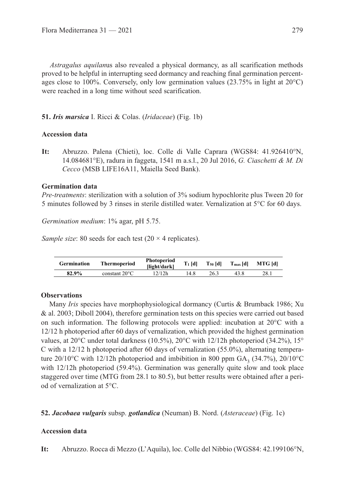*Astragalus aquilan*us also revealed a physical dormancy, as all scarification methods proved to be helpful in interrupting seed dormancy and reaching final germination percentages close to 100%. Conversely, only low germination values  $(23.75\%$  in light at  $20^{\circ}$ C) were reached in a long time without seed scarification.

## **51.** *Iris marsica* I. Ricci & Colas. (*Iridaceae*) (Fig. 1b)

#### **Accession data**

**It:** Abruzzo. Palena (Chieti), loc. Colle di Valle Caprara (WGS84: 41.926410°N, 14.084681°E), radura in faggeta, 1541 m a.s.l., 20 Jul 2016, *G. Ciaschetti & M. Di Cecco* (MSB LIFE16A11, Maiella Seed Bank).

#### **Germination data**

*Pre-treatments*: sterilization with a solution of 3% sodium hypochlorite plus Tween 20 for 5 minutes followed by 3 rinses in sterile distilled water. Vernalization at 5°C for 60 days.

*Germination medium*: 1% agar, pH 5.75.

*Sample size*: 80 seeds for each test (20  $\times$  4 replicates).

| <b>Germination</b> | Thermoperiod            | Photoperiod<br>llight/darkl | $T_1$ [d] | $T_{50}$ [d] | $T_{\rm max}$ [d] | <b>MTG</b> [d] |
|--------------------|-------------------------|-----------------------------|-----------|--------------|-------------------|----------------|
| 82.9%              | constant $20^{\circ}$ C | 12/12h                      | 4.8       | 26.3         |                   | 28.1           |

## **Observations**

Many *Iris* species have morphophysiological dormancy (Curtis & Brumback 1986; Xu & al. 2003; Diboll 2004), therefore germination tests on this species were carried out based on such information. The following protocols were applied: incubation at 20°C with a 12/12 h photoperiod after 60 days of vernalization, which provided the highest germination values, at  $20^{\circ}$ C under total darkness (10.5%),  $20^{\circ}$ C with 12/12h photoperiod (34.2%), 15° C with a 12/12 h photoperiod after 60 days of vernalization (55.0%), alternating temperature 20/10°C with 12/12h photoperiod and imbibition in 800 ppm GA<sub>3</sub> (34.7%), 20/10°C with 12/12h photoperiod (59.4%). Germination was generally quite slow and took place staggered over time (MTG from 28.1 to 80.5), but better results were obtained after a period of vernalization at 5°C.

## **52.** *Jacobaea vulgaris* subsp. *gotlandica* (Neuman) B. Nord. (*Asteraceae*) (Fig. 1c)

## **Accession data**

**It:** Abruzzo. Rocca di Mezzo (L'Aquila), loc. Colle del Nibbio (WGS84: 42.199106°N,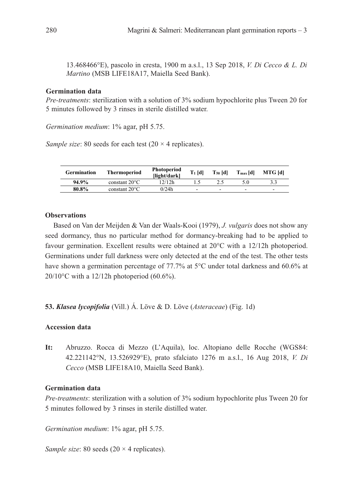13.468466°E), pascolo in cresta, 1900 m a.s.l., 13 Sep 2018, *V. Di Cecco & L. Di Martino* (MSB LIFE18A17, Maiella Seed Bank).

#### **Germination data**

*Pre-treatments*: sterilization with a solution of 3% sodium hypochlorite plus Tween 20 for 5 minutes followed by 3 rinses in sterile distilled water.

*Germination medium*: 1% agar, pH 5.75.

*Sample size*: 80 seeds for each test (20  $\times$  4 replicates).

| <b>Germination</b> | <b>Thermoperiod</b>     | Photoperiod<br>llight/darkl | $T_1$ [d] | $T_{50}$ [d] | $T_{\rm max}$ [d] | <b>MTG</b> [d] |
|--------------------|-------------------------|-----------------------------|-----------|--------------|-------------------|----------------|
| 94.9%              | constant $20^{\circ}$ C | 12/12h                      |           |              | 5.0               |                |
| 80.8%              | constant $20^{\circ}$ C | 0/24h                       | -         | -            | -                 | -              |

#### **Observations**

Based on Van der Meijden & Van der Waals-Kooi (1979), *J. vulgaris* does not show any seed dormancy, thus no particular method for dormancy-breaking had to be applied to favour germination. Excellent results were obtained at 20°C with a 12/12h photoperiod. Germinations under full darkness were only detected at the end of the test. The other tests have shown a germination percentage of 77.7% at 5°C under total darkness and 60.6% at 20/10 $^{\circ}$ C with a 12/12h photoperiod (60.6%).

**53.** *Klasea lycopifolia* (Vill.) Á. Löve & D. Löve (*Asteraceae*) (Fig. 1d)

## **Accession data**

**It:** Abruzzo. Rocca di Mezzo (L'Aquila), loc. Altopiano delle Rocche (WGS84: 42.221142°N, 13.526929°E), prato sfalciato 1276 m a.s.l., 16 Aug 2018, *V. Di Cecco* (MSB LIFE18A10, Maiella Seed Bank).

## **Germination data**

*Pre-treatments*: sterilization with a solution of 3% sodium hypochlorite plus Tween 20 for 5 minutes followed by 3 rinses in sterile distilled water.

*Germination medium*: 1% agar, pH 5.75.

*Sample size*: 80 seeds (20  $\times$  4 replicates).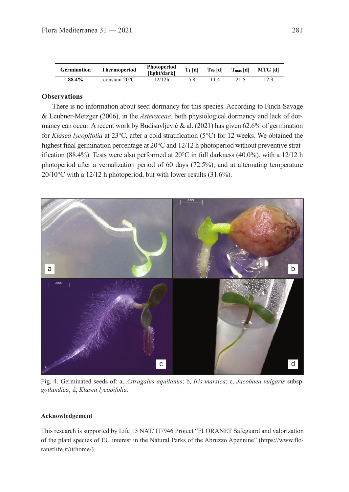| <b>Germination</b> | Thermoperiod            | Photoperiod<br>llight/darkl | $T_1$ [d] | $T_{50}$ [d] | $T_{\text{max}}[d]$ | <b>MTG</b> [d] |
|--------------------|-------------------------|-----------------------------|-----------|--------------|---------------------|----------------|
| 88.4%              | constant $20^{\circ}$ C | 12/12h                      |           |              |                     |                |

#### **Observations**

There is no information about seed dormancy for this species. According to Finch‐Savage & Leubner‐Metzger (2006), in the *Asteraceae,* both physiological dormancy and lack of dormancy can occur. A recent work by Budisavljević & al. (2021) has given 62.6% of germination for *Klasea lycopifolia* at 23°C, after a cold stratification (5°C) for 12 weeks. We obtained the highest final germination percentage at 20 $\degree$ C and 12/12 h photoperiod without preventive stratification (88.4%). Tests were also performed at  $20^{\circ}$ C in full darkness (40.0%), with a 12/12 h photoperiod after a vernalization period of 60 days (72.5%), and at alternating temperature 20/10°C with a 12/12 h photoperiod, but with lower results (31.6%).



Fig. 4. Germinated seeds of: a, *Astragalus aquilanus*; b, *Iris marsica*; c, *Jacobaea vulgaris* subsp. *gotlandica*; d, *Klasea lycopifolia*.

#### **Acknowledgement**

This research is supported by Life 15 NAT/ IT/946 Project "FLORANET Safeguard and valorization of the plant species of EU interest in the Natural Parks of the Abruzzo Apennine" (https://www.floranetlife.it/it/home/).